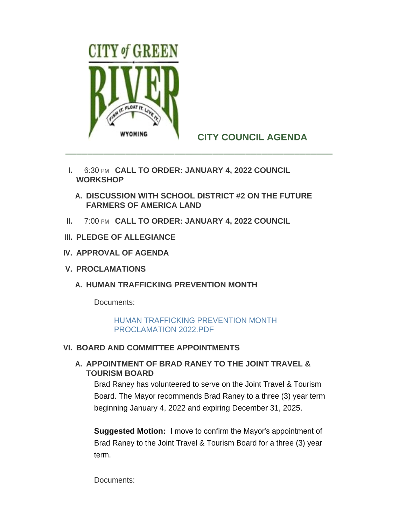

# **CITY COUNCIL AGENDA**

- **I.** 6:30 PM CALL TO ORDER: JANUARY 4, 2022 COUNCIL **WORKSHOP** 
	- **DISCUSSION WITH SCHOOL DISTRICT #2 ON THE FUTURE A. FARMERS OF AMERICA LAND**
- **II.** 7:00 PM CALL TO ORDER: JANUARY 4, 2022 COUNCIL
- **PLEDGE OF ALLEGIANCE III.**
- **APPROVAL OF AGENDA IV.**
- **PROCLAMATIONS V.**
	- **HUMAN TRAFFICKING PREVENTION MONTH A.**

Documents:

[HUMAN TRAFFICKING PREVENTION MONTH](http://cityofgreenriver.org/AgendaCenter/ViewFile/Item/7843?fileID=46437)  PROCLAMATION 2022.PDF

## **BOARD AND COMMITTEE APPOINTMENTS VI.**

## A. APPOINTMENT OF BRAD RANEY TO THE JOINT TRAVEL & **TOURISM BOARD**

Brad Raney has volunteered to serve on the Joint Travel & Tourism Board. The Mayor recommends Brad Raney to a three (3) year term beginning January 4, 2022 and expiring December 31, 2025.

**Suggested Motion:** I move to confirm the Mayor's appointment of Brad Raney to the Joint Travel & Tourism Board for a three (3) year term.

Documents: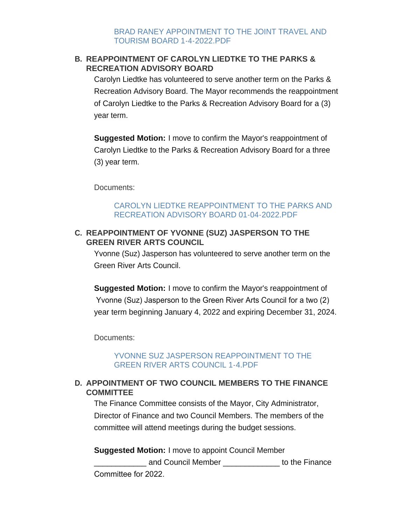# **REAPPOINTMENT OF CAROLYN LIEDTKE TO THE PARKS & B. RECREATION ADVISORY BOARD**

Carolyn Liedtke has volunteered to serve another term on the Parks & Recreation Advisory Board. The Mayor recommends the reappointment of Carolyn Liedtke to the Parks & Recreation Advisory Board for a (3) year term.

**Suggested Motion:** I move to confirm the Mayor's reappointment of Carolyn Liedtke to the Parks & Recreation Advisory Board for a three (3) year term.

Documents:

## [CAROLYN LIEDTKE REAPPOINTMENT TO THE PARKS AND](http://cityofgreenriver.org/AgendaCenter/ViewFile/Item/7841?fileID=46435)  RECREATION ADVISORY BOARD 01-04-2022.PDF

## **REAPPOINTMENT OF YVONNE (SUZ) JASPERSON TO THE C. GREEN RIVER ARTS COUNCIL**

Yvonne (Suz) Jasperson has volunteered to serve another term on the Green River Arts Council.

**Suggested Motion:** I move to confirm the Mayor's reappointment of Yvonne (Suz) Jasperson to the Green River Arts Council for a two (2) year term beginning January 4, 2022 and expiring December 31, 2024.

Documents:

## YVONNE SUZ JASPERSON REAPPOINTMENT TO THE GREEN RIVER ARTS COUNCIL 1-4.PDF

# **APPOINTMENT OF TWO COUNCIL MEMBERS TO THE FINANCE D. COMMITTEE**

The Finance Committee consists of the Mayor, City Administrator, Director of Finance and two Council Members. The members of the committee will attend meetings during the budget sessions.

**Suggested Motion:** I move to appoint Council Member \_\_\_\_\_\_\_\_\_\_\_\_ and Council Member \_\_\_\_\_\_\_\_\_\_\_\_\_ to the Finance Committee for 2022.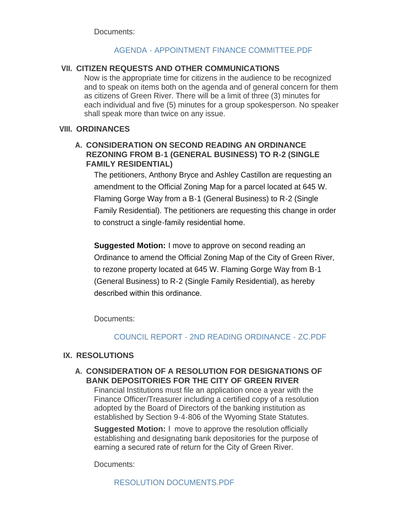Documents:

## [AGENDA - APPOINTMENT FINANCE COMMITTEE.PDF](http://cityofgreenriver.org/AgendaCenter/ViewFile/Item/7844?fileID=46699)

#### **CITIZEN REQUESTS AND OTHER COMMUNICATIONS VII.**

Now is the appropriate time for citizens in the audience to be recognized and to speak on items both on the agenda and of general concern for them as citizens of Green River. There will be a limit of three (3) minutes for each individual and five (5) minutes for a group spokesperson. No speaker shall speak more than twice on any issue.

#### **ORDINANCES VIII.**

## **CONSIDERATION ON SECOND READING AN ORDINANCE A. REZONING FROM B-1 (GENERAL BUSINESS) TO R-2 (SINGLE FAMILY RESIDENTIAL)**

The petitioners, Anthony Bryce and Ashley Castillon are requesting an amendment to the Official Zoning Map for a parcel located at 645 W. Flaming Gorge Way from a B-1 (General Business) to R-2 (Single Family Residential). The petitioners are requesting this change in order to construct a single-family residential home.

**Suggested Motion:** I move to approve on second reading an Ordinance to amend the Official Zoning Map of the City of Green River, to rezone property located at 645 W. Flaming Gorge Way from B-1 (General Business) to R-2 (Single Family Residential), as hereby described within this ordinance.

Documents:

## [COUNCIL REPORT - 2ND READING ORDINANCE - ZC.PDF](http://cityofgreenriver.org/AgendaCenter/ViewFile/Item/7840?fileID=46619)

## **IX. RESOLUTIONS**

## **CONSIDERATION OF A RESOLUTION FOR DESIGNATIONS OF A. BANK DEPOSITORIES FOR THE CITY OF GREEN RIVER**

Financial Institutions must file an application once a year with the Finance Officer/Treasurer including a certified copy of a resolution adopted by the Board of Directors of the banking institution as established by Section 9-4-806 of the Wyoming State Statutes.

**Suggested Motion:** I move to approve the resolution officially establishing and designating bank depositories for the purpose of earning a secured rate of return for the City of Green River.

Documents:

[RESOLUTION DOCUMENTS.PDF](http://cityofgreenriver.org/AgendaCenter/ViewFile/Item/7852?fileID=46701)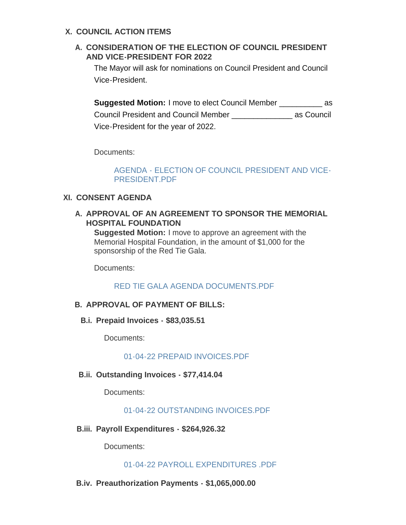## **COUNCIL ACTION ITEMS X.**

# **CONSIDERATION OF THE ELECTION OF COUNCIL PRESIDENT A. AND VICE-PRESIDENT FOR 2022**

The Mayor will ask for nominations on Council President and Council Vice-President.

**Suggested Motion:** I move to elect Council Member as Council President and Council Member \_\_\_\_\_\_\_\_\_\_\_\_\_\_ as Council Vice-President for the year of 2022.

Documents:

[AGENDA - ELECTION OF COUNCIL PRESIDENT AND VICE-](http://cityofgreenriver.org/AgendaCenter/ViewFile/Item/7807?fileID=46700)PRESIDENT.PDF

## **CONSENT AGENDA XI.**

## A. APPROVAL OF AN AGREEMENT TO SPONSOR THE MEMORIAL **HOSPITAL FOUNDATION**

**Suggested Motion:** I move to approve an agreement with the Memorial Hospital Foundation, in the amount of \$1,000 for the sponsorship of the Red Tie Gala.

Documents:

[RED TIE GALA AGENDA DOCUMENTS.PDF](http://cityofgreenriver.org/AgendaCenter/ViewFile/Item/7845?fileID=46618)

# **APPROVAL OF PAYMENT OF BILLS: B.**

## **Prepaid Invoices - \$83,035.51 B.i.**

Documents:

[01-04-22 PREPAID INVOICES.PDF](http://cityofgreenriver.org/AgendaCenter/ViewFile/Item/7847?fileID=46702)

**Outstanding Invoices - \$77,414.04 B.ii.**

Documents:

[01-04-22 OUTSTANDING INVOICES.PDF](http://cityofgreenriver.org/AgendaCenter/ViewFile/Item/7849?fileID=46703)

**Payroll Expenditures - \$264,926.32 B.iii.**

Documents:

[01-04-22 PAYROLL EXPENDITURES .PDF](http://cityofgreenriver.org/AgendaCenter/ViewFile/Item/7850?fileID=46704)

#### **Preauthorization Payments - \$1,065,000.00 B.iv.**